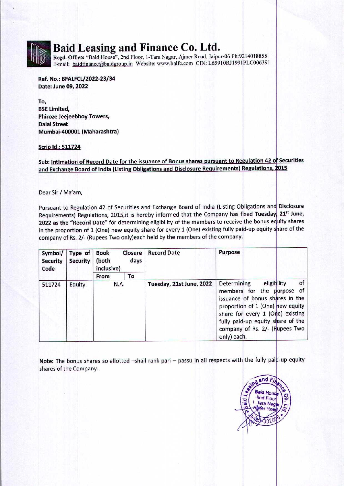## Baid Leasing and Finance Co. Ltd.

Regd. Office: "Baid House", 2nd Floor, 1-Tara Nagar, Ajmer Road, Jaipur-06 Ph:9214018855 E-mail: baidfinance@baidgroup.in Website: www.balfc.com CIN: L65910RJ1991PLC006391

Ref. No.: BFALFCL/2022-23/34 Date: June 09, 2022

To, BSE Limited, Phiroze Jeejeebhoy Towers, Dalal Street Mumbai-400001 (Maharashtra)

## Scrip Id.: 511724

Sub: Intimation of Record Date for the issuance of Bonus shares pursuant to Regulation 42 of Securities and Exchange Board of India (Listing Obligations and Disclosure Requirements) Regulations, 2015

Dear Sir / Ma'am,

**TALENT BERKING IN DE TREE IN HIS IN THE TREE IN A T** 

Pursuant to Regulation 42 of Securities and Exchange Board of India (Listing Obligations and Disclosure Requirements) Regulations, 2015, it is hereby informed that the Company has fixed Tuesday, 21<sup>st</sup> June, 2022 as the "Record Date" for determining eligibility of the members to receive the bonus equity shares in the proportion of 1 (One) new equity share for every 1 (One) existing fully paid-up equity share of the **Baid Leasing and Finance Register Comparison Compare Set the Set of the Register Comparison Ref. No.: BFALFCL/2022-23/34<br>
Ref. No.: BFALFCL/2022-23/34<br>
Date: June 09, 2022<br>
To,<br>
Date: June 09, 2022<br>
To,<br>
BSE Limited,<br>
Phi** company of Rs. 2/- (Rupees Two only)each held by the members of the company. **Baid Leasing and Finance Regale Towns**<br>
Regal. Office: "Baid House", 2nd Floor, 1-Tara Naga<br>
E-mail: baidfinance@baidgroup.in Website: www.b<br>
Ref. No.: BFALFCL/2022-23/34<br>
Date: June 09, 2022<br>
To,<br>
Date: June 09, 2022<br>
To

| company of Rs. 2/- (Rupees Two only)each held by the members of the company.<br>Symbol/<br><b>Security</b><br>Code | Type of<br><b>Security</b> | Closure<br><b>Book</b><br>days<br>(both<br>inclusive) |      | <b>Record Date</b>       | Purpose                                                                                                                                                                                                                                                         |
|--------------------------------------------------------------------------------------------------------------------|----------------------------|-------------------------------------------------------|------|--------------------------|-----------------------------------------------------------------------------------------------------------------------------------------------------------------------------------------------------------------------------------------------------------------|
|                                                                                                                    |                            | From                                                  | To   |                          |                                                                                                                                                                                                                                                                 |
| 511724                                                                                                             | Equity                     |                                                       | N.A. | Tuesday, 21st June, 2022 | eligibility<br>of<br>Determining<br>members for the purpose of<br>issuance of bonus shares in the<br>proportion of 1 (One) new equity<br>share for every 1 (One) existing<br>fully paid-up equity share of the<br>company of Rs. 2/- (Rupees Two<br>only) each. |

Note: The bonus shares so allotted —shall rank pari — passu in all respects with the fully paid-up equity shares of the Company.